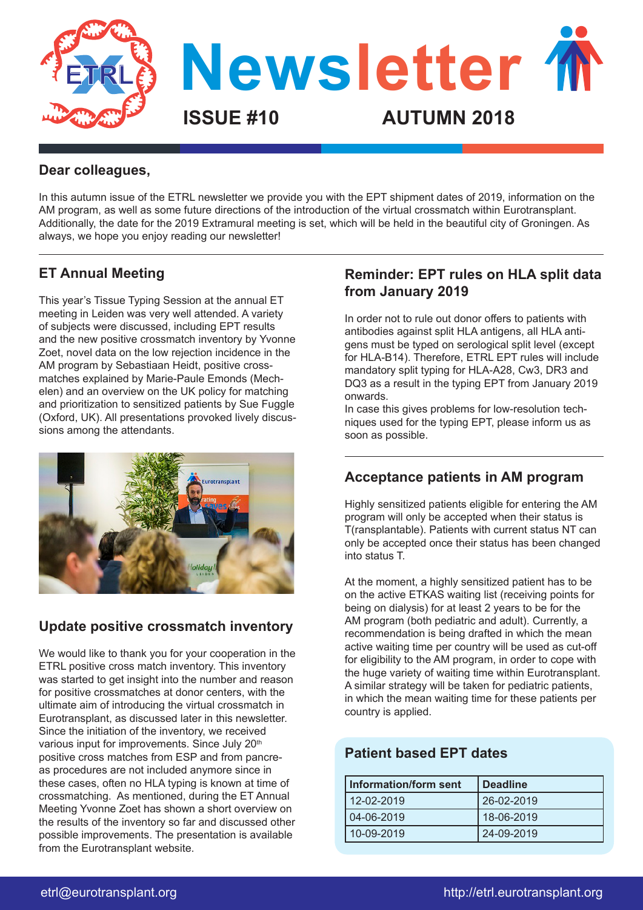

#### **Dear colleagues,**

In this autumn issue of the ETRL newsletter we provide you with the EPT shipment dates of 2019, information on the AM program, as well as some future directions of the introduction of the virtual crossmatch within Eurotransplant. Additionally, the date for the 2019 Extramural meeting is set, which will be held in the beautiful city of Groningen. As always, we hope you enjoy reading our newsletter!

## **ET Annual Meeting**

This year's Tissue Typing Session at the annual ET meeting in Leiden was very well attended. A variety of subjects were discussed, including EPT results and the new positive crossmatch inventory by Yvonne Zoet, novel data on the low rejection incidence in the AM program by Sebastiaan Heidt, positive crossmatches explained by Marie-Paule Emonds (Mechelen) and an overview on the UK policy for matching and prioritization to sensitized patients by Sue Fuggle (Oxford, UK). All presentations provoked lively discussions among the attendants.



## **Update positive crossmatch inventory**

We would like to thank you for your cooperation in the ETRL positive cross match inventory. This inventory was started to get insight into the number and reason for positive crossmatches at donor centers, with the ultimate aim of introducing the virtual crossmatch in Eurotransplant, as discussed later in this newsletter. Since the initiation of the inventory, we received various input for improvements. Since July 20<sup>th</sup> positive cross matches from ESP and from pancreas procedures are not included anymore since in these cases, often no HLA typing is known at time of crossmatching. As mentioned, during the ET Annual Meeting Yvonne Zoet has shown a short overview on the results of the inventory so far and discussed other possible improvements. The presentation is available from the Eurotransplant website.

#### **Reminder: EPT rules on HLA split data from January 2019**

In order not to rule out donor offers to patients with antibodies against split HLA antigens, all HLA antigens must be typed on serological split level (except for HLA-B14). Therefore, ETRL EPT rules will include mandatory split typing for HLA-A28, Cw3, DR3 and DQ3 as a result in the typing EPT from January 2019 onwards.

In case this gives problems for low-resolution techniques used for the typing EPT, please inform us as soon as possible.

## **Acceptance patients in AM program**

Highly sensitized patients eligible for entering the AM program will only be accepted when their status is T(ransplantable). Patients with current status NT can only be accepted once their status has been changed into status T.

At the moment, a highly sensitized patient has to be on the active ETKAS waiting list (receiving points for being on dialysis) for at least 2 years to be for the AM program (both pediatric and adult). Currently, a recommendation is being drafted in which the mean active waiting time per country will be used as cut-off for eligibility to the AM program, in order to cope with the huge variety of waiting time within Eurotransplant. A similar strategy will be taken for pediatric patients, in which the mean waiting time for these patients per country is applied.

## **Patient based EPT dates**

| <b>Information/form sent</b> | <b>Deadline</b> |
|------------------------------|-----------------|
| 12-02-2019                   | 26-02-2019      |
| 04-06-2019                   | 18-06-2019      |
| 10-09-2019                   | 24-09-2019      |